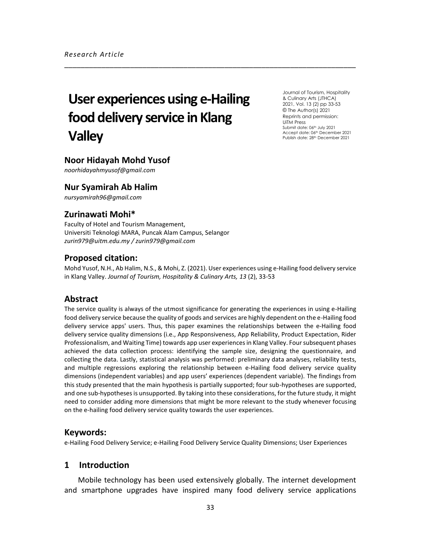# **User experiences using e-Hailing food delivery service in Klang Valley**

Journal of Tourism, Hospitality & Culinary Arts (JTHCA) 2021, Vol. 13 (2) pp 33-53 © The Author(s) 2021 Reprints and permission: UiTM Press Submit date: 06<sup>th</sup> July 2021 Accept date: 06th December 2021 Publish date: 28<sup>th</sup> December 2021

# **Noor Hidayah Mohd Yusof**

*noorhidayahmyusof@gmail.com*

# **Nur Syamirah Ab Halim**

*nursyamirah96@gmail.com*

# **Zurinawati Mohi\***

Faculty of Hotel and Tourism Management, Universiti Teknologi MARA, Puncak Alam Campus, Selangor *zurin979@uitm.edu.my / zurin979@gmail.com*

# **Proposed citation:**

Mohd Yusof, N.H., Ab Halim, N.S., & Mohi, Z. (2021). User experiences using e-Hailing food delivery service in Klang Valley. *Journal of Tourism, Hospitality & Culinary Arts, 13* (2), 33-53

\_\_\_\_\_\_\_\_\_\_\_\_\_\_\_\_\_\_\_\_\_\_\_\_\_\_\_\_\_\_\_\_\_\_\_\_\_\_\_\_\_\_\_\_\_\_\_\_\_\_\_\_\_\_\_\_\_\_\_\_\_\_\_\_\_\_\_\_\_\_\_

# **Abstract**

The service quality is always of the utmost significance for generating the experiences in using e-Hailing food delivery service because the quality of goods and services are highly dependent on the e-Hailing food delivery service apps' users. Thus, this paper examines the relationships between the e-Hailing food delivery service quality dimensions (i.e., App Responsiveness, App Reliability, Product Expectation, Rider Professionalism, and Waiting Time) towards app user experiences in Klang Valley. Four subsequent phases achieved the data collection process: identifying the sample size, designing the questionnaire, and collecting the data. Lastly, statistical analysis was performed: preliminary data analyses, reliability tests, and multiple regressions exploring the relationship between e-Hailing food delivery service quality dimensions (independent variables) and app users' experiences (dependent variable). The findings from this study presented that the main hypothesis is partially supported; four sub-hypotheses are supported, and one sub-hypotheses is unsupported. By taking into these considerations, for the future study, it might need to consider adding more dimensions that might be more relevant to the study whenever focusing on the e-hailing food delivery service quality towards the user experiences.

# **Keywords:**

e-Hailing Food Delivery Service; e-Hailing Food Delivery Service Quality Dimensions; User Experiences

# **1 Introduction**

Mobile technology has been used extensively globally. The internet development and smartphone upgrades have inspired many food delivery service applications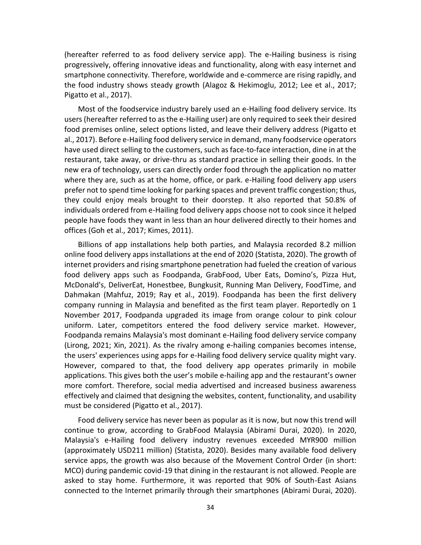(hereafter referred to as food delivery service app). The e-Hailing business is rising progressively, offering innovative ideas and functionality, along with easy internet and smartphone connectivity. Therefore, worldwide and e-commerce are rising rapidly, and the food industry shows steady growth (Alagoz & Hekimoglu, 2012; Lee et al., 2017; Pigatto et al., 2017).

Most of the foodservice industry barely used an e-Hailing food delivery service. Its users (hereafter referred to as the e-Hailing user) are only required to seek their desired food premises online, select options listed, and leave their delivery address (Pigatto et al., 2017). Before e-Hailing food delivery service in demand, many foodservice operators have used direct selling to the customers, such as face-to-face interaction, dine in at the restaurant, take away, or drive-thru as standard practice in selling their goods. In the new era of technology, users can directly order food through the application no matter where they are, such as at the home, office, or park. e-Hailing food delivery app users prefer not to spend time looking for parking spaces and prevent traffic congestion; thus, they could enjoy meals brought to their doorstep. It also reported that 50.8% of individuals ordered from e-Hailing food delivery apps choose not to cook since it helped people have foods they want in less than an hour delivered directly to their homes and offices (Goh et al., 2017; Kimes, 2011).

Billions of app installations help both parties, and Malaysia recorded 8.2 million online food delivery apps installations at the end of 2020 (Statista, 2020). The growth of internet providers and rising smartphone penetration had fueled the creation of various food delivery apps such as Foodpanda, GrabFood, Uber Eats, Domino's, Pizza Hut, McDonald's, DeliverEat, Honestbee, Bungkusit, Running Man Delivery, FoodTime, and Dahmakan (Mahfuz, 2019; Ray et al., 2019). Foodpanda has been the first delivery company running in Malaysia and benefited as the first team player. Reportedly on 1 November 2017, Foodpanda upgraded its image from orange colour to pink colour uniform. Later, competitors entered the food delivery service market. However, Foodpanda remains Malaysia's most dominant e-Hailing food delivery service company (Lirong, 2021; Xin, 2021). As the rivalry among e-hailing companies becomes intense, the users' experiences using apps for e-Hailing food delivery service quality might vary. However, compared to that, the food delivery app operates primarily in mobile applications. This gives both the user's mobile e-hailing app and the restaurant's owner more comfort. Therefore, social media advertised and increased business awareness effectively and claimed that designing the websites, content, functionality, and usability must be considered (Pigatto et al., 2017).

Food delivery service has never been as popular as it is now, but now this trend will continue to grow, according to GrabFood Malaysia (Abirami Durai, 2020). In 2020, Malaysia's e-Hailing food delivery industry revenues exceeded MYR900 million (approximately USD211 million) (Statista, 2020). Besides many available food delivery service apps, the growth was also because of the Movement Control Order (in short: MCO) during pandemic covid-19 that dining in the restaurant is not allowed. People are asked to stay home. Furthermore, it was reported that 90% of South-East Asians connected to the Internet primarily through their smartphones (Abirami Durai, 2020).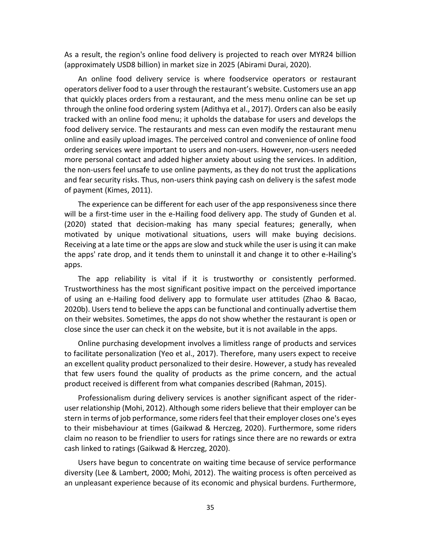As a result, the region's online food delivery is projected to reach over MYR24 billion (approximately USD8 billion) in market size in 2025 (Abirami Durai, 2020).

An online food delivery service is where foodservice operators or restaurant operators deliver food to a user through the restaurant's website. Customers use an app that quickly places orders from a restaurant, and the mess menu online can be set up through the online food ordering system (Adithya et al., 2017). Orders can also be easily tracked with an online food menu; it upholds the database for users and develops the food delivery service. The restaurants and mess can even modify the restaurant menu online and easily upload images. The perceived control and convenience of online food ordering services were important to users and non-users. However, non-users needed more personal contact and added higher anxiety about using the services. In addition, the non-users feel unsafe to use online payments, as they do not trust the applications and fear security risks. Thus, non-users think paying cash on delivery is the safest mode of payment (Kimes, 2011).

The experience can be different for each user of the app responsiveness since there will be a first-time user in the e-Hailing food delivery app. The study of Gunden et al. (2020) stated that decision-making has many special features; generally, when motivated by unique motivational situations, users will make buying decisions. Receiving at a late time or the apps are slow and stuck while the user is using it can make the apps' rate drop, and it tends them to uninstall it and change it to other e-Hailing's apps.

The app reliability is vital if it is trustworthy or consistently performed. Trustworthiness has the most significant positive impact on the perceived importance of using an e-Hailing food delivery app to formulate user attitudes (Zhao & Bacao, 2020b). Users tend to believe the apps can be functional and continually advertise them on their websites. Sometimes, the apps do not show whether the restaurant is open or close since the user can check it on the website, but it is not available in the apps.

Online purchasing development involves a limitless range of products and services to facilitate personalization (Yeo et al., 2017). Therefore, many users expect to receive an excellent quality product personalized to their desire. However, a study has revealed that few users found the quality of products as the prime concern, and the actual product received is different from what companies described (Rahman, 2015).

Professionalism during delivery services is another significant aspect of the rideruser relationship (Mohi, 2012). Although some riders believe that their employer can be stern in terms of job performance, some riders feel that their employer closes one's eyes to their misbehaviour at times (Gaikwad & Herczeg, 2020). Furthermore, some riders claim no reason to be friendlier to users for ratings since there are no rewards or extra cash linked to ratings (Gaikwad & Herczeg, 2020).

Users have begun to concentrate on waiting time because of service performance diversity (Lee & Lambert, 2000; Mohi, 2012). The waiting process is often perceived as an unpleasant experience because of its economic and physical burdens. Furthermore,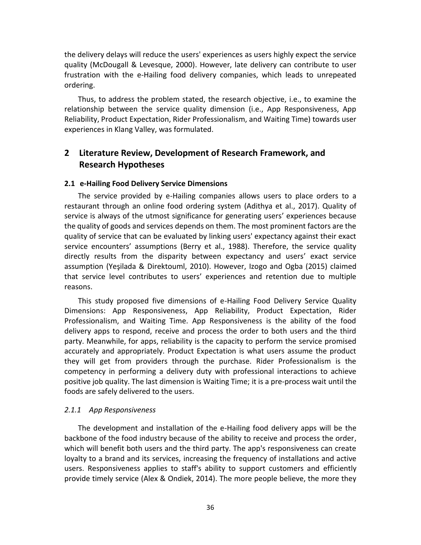the delivery delays will reduce the users' experiences as users highly expect the service quality (McDougall & Levesque, 2000). However, late delivery can contribute to user frustration with the e-Hailing food delivery companies, which leads to unrepeated ordering.

Thus, to address the problem stated, the research objective, i.e., to examine the relationship between the service quality dimension (i.e., App Responsiveness, App Reliability, Product Expectation, Rider Professionalism, and Waiting Time) towards user experiences in Klang Valley, was formulated.

# **2 Literature Review, Development of Research Framework, and Research Hypotheses**

#### **2.1 e-Hailing Food Delivery Service Dimensions**

The service provided by e-Hailing companies allows users to place orders to a restaurant through an online food ordering system (Adithya et al., 2017). Quality of service is always of the utmost significance for generating users' experiences because the quality of goods and services depends on them. The most prominent factors are the quality of service that can be evaluated by linking users' expectancy against their exact service encounters' assumptions (Berry et al., 1988). Therefore, the service quality directly results from the disparity between expectancy and users' exact service assumption (Yeşilada & Direktouml, 2010). However, Izogo and Ogba (2015) claimed that service level contributes to users' experiences and retention due to multiple reasons.

This study proposed five dimensions of e-Hailing Food Delivery Service Quality Dimensions: App Responsiveness, App Reliability, Product Expectation, Rider Professionalism, and Waiting Time. App Responsiveness is the ability of the food delivery apps to respond, receive and process the order to both users and the third party. Meanwhile, for apps, reliability is the capacity to perform the service promised accurately and appropriately. Product Expectation is what users assume the product they will get from providers through the purchase. Rider Professionalism is the competency in performing a delivery duty with professional interactions to achieve positive job quality. The last dimension is Waiting Time; it is a pre-process wait until the foods are safely delivered to the users.

#### *2.1.1 App Responsiveness*

The development and installation of the e-Hailing food delivery apps will be the backbone of the food industry because of the ability to receive and process the order, which will benefit both users and the third party. The app's responsiveness can create loyalty to a brand and its services, increasing the frequency of installations and active users. Responsiveness applies to staff's ability to support customers and efficiently provide timely service (Alex & Ondiek, 2014). The more people believe, the more they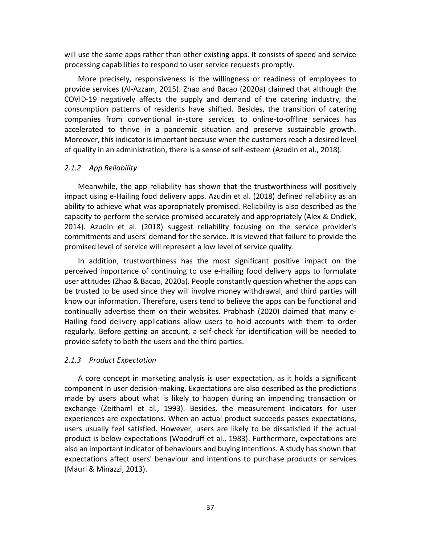will use the same apps rather than other existing apps. It consists of speed and service processing capabilities to respond to user service requests promptly.

More precisely, responsiveness is the willingness or readiness of employees to provide services (Al-Azzam, 2015). Zhao and Bacao (2020a) claimed that although the COVID-19 negatively affects the supply and demand of the catering industry, the consumption patterns of residents have shifted. Besides, the transition of catering companies from conventional in-store services to online-to-offline services has accelerated to thrive in a pandemic situation and preserve sustainable growth. Moreover, this indicator is important because when the customers reach a desired level of quality in an administration, there is a sense of self-esteem (Azudin et al., 2018).

#### *2.1.2 App Reliability*

Meanwhile, the app reliability has shown that the trustworthiness will positively impact using e-Hailing food delivery apps. Azudin et al. (2018) defined reliability as an ability to achieve what was appropriately promised. Reliability is also described as the capacity to perform the service promised accurately and appropriately (Alex & Ondiek, 2014). Azudin et al. (2018) suggest reliability focusing on the service provider's commitments and users' demand for the service. It is viewed that failure to provide the promised level of service will represent a low level of service quality.

In addition, trustworthiness has the most significant positive impact on the perceived importance of continuing to use e-Hailing food delivery apps to formulate user attitudes (Zhao & Bacao, 2020a). People constantly question whether the apps can be trusted to be used since they will involve money withdrawal, and third parties will know our information. Therefore, users tend to believe the apps can be functional and continually advertise them on their websites. Prabhash (2020) claimed that many e-Hailing food delivery applications allow users to hold accounts with them to order regularly. Before getting an account, a self-check for identification will be needed to provide safety to both the users and the third parties.

#### *2.1.3 Product Expectation*

A core concept in marketing analysis is user expectation, as it holds a significant component in user decision-making. Expectations are also described as the predictions made by users about what is likely to happen during an impending transaction or exchange (Zeithaml et al., 1993). Besides, the measurement indicators for user experiences are expectations. When an actual product succeeds passes expectations, users usually feel satisfied. However, users are likely to be dissatisfied if the actual product is below expectations (Woodruff et al., 1983). Furthermore, expectations are also an important indicator of behaviours and buying intentions. A study has shown that expectations affect users' behaviour and intentions to purchase products or services (Mauri & Minazzi, 2013).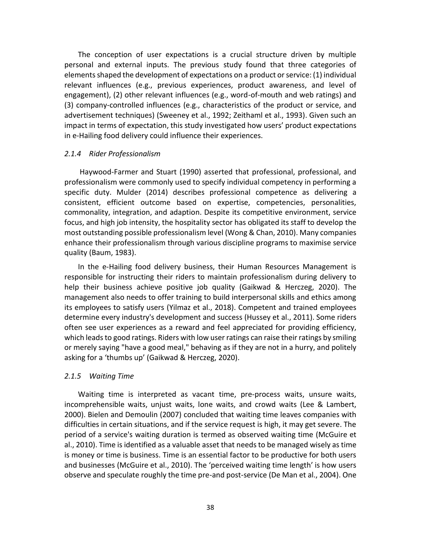The conception of user expectations is a crucial structure driven by multiple personal and external inputs. The previous study found that three categories of elements shaped the development of expectations on a product or service: (1) individual relevant influences (e.g., previous experiences, product awareness, and level of engagement), (2) other relevant influences (e.g., word-of-mouth and web ratings) and (3) company-controlled influences (e.g., characteristics of the product or service, and advertisement techniques) (Sweeney et al., 1992; Zeithaml et al., 1993). Given such an impact in terms of expectation, this study investigated how users' product expectations in e-Hailing food delivery could influence their experiences.

#### *2.1.4 Rider Professionalism*

Haywood-Farmer and Stuart (1990) asserted that professional, professional, and professionalism were commonly used to specify individual competency in performing a specific duty. Mulder (2014) describes professional competence as delivering a consistent, efficient outcome based on expertise, competencies, personalities, commonality, integration, and adaption. Despite its competitive environment, service focus, and high job intensity, the hospitality sector has obligated its staff to develop the most outstanding possible professionalism level (Wong & Chan, 2010). Many companies enhance their professionalism through various discipline programs to maximise service quality (Baum, 1983).

In the e-Hailing food delivery business, their Human Resources Management is responsible for instructing their riders to maintain professionalism during delivery to help their business achieve positive job quality (Gaikwad & Herczeg, 2020). The management also needs to offer training to build interpersonal skills and ethics among its employees to satisfy users (Yilmaz et al., 2018). Competent and trained employees determine every industry's development and success (Hussey et al., 2011). Some riders often see user experiences as a reward and feel appreciated for providing efficiency, which leads to good ratings. Riders with low user ratings can raise their ratings by smiling or merely saying "have a good meal," behaving as if they are not in a hurry, and politely asking for a 'thumbs up' (Gaikwad & Herczeg, 2020).

#### *2.1.5 Waiting Time*

Waiting time is interpreted as vacant time, pre-process waits, unsure waits, incomprehensible waits, unjust waits, lone waits, and crowd waits (Lee & Lambert, 2000). Bielen and Demoulin (2007) concluded that waiting time leaves companies with difficulties in certain situations, and if the service request is high, it may get severe. The period of a service's waiting duration is termed as observed waiting time (McGuire et al., 2010). Time is identified as a valuable asset that needs to be managed wisely as time is money or time is business. Time is an essential factor to be productive for both users and businesses (McGuire et al., 2010). The 'perceived waiting time length' is how users observe and speculate roughly the time pre-and post-service (De Man et al., 2004). One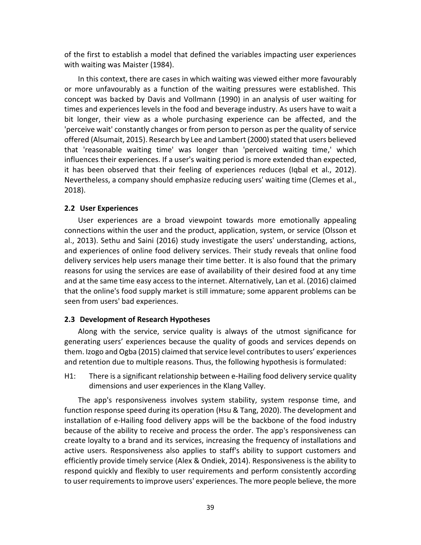of the first to establish a model that defined the variables impacting user experiences with waiting was Maister (1984).

In this context, there are cases in which waiting was viewed either more favourably or more unfavourably as a function of the waiting pressures were established. This concept was backed by Davis and Vollmann (1990) in an analysis of user waiting for times and experiences levels in the food and beverage industry. As users have to wait a bit longer, their view as a whole purchasing experience can be affected, and the 'perceive wait' constantly changes or from person to person as per the quality of service offered (Alsumait, 2015). Research by Lee and Lambert (2000) stated that users believed that 'reasonable waiting time' was longer than 'perceived waiting time,' which influences their experiences. If a user's waiting period is more extended than expected, it has been observed that their feeling of experiences reduces (Iqbal et al., 2012). Nevertheless, a company should emphasize reducing users' waiting time (Clemes et al., 2018).

#### **2.2 User Experiences**

User experiences are a broad viewpoint towards more emotionally appealing connections within the user and the product, application, system, or service (Olsson et al., 2013). Sethu and Saini (2016) study investigate the users' understanding, actions, and experiences of online food delivery services. Their study reveals that online food delivery services help users manage their time better. It is also found that the primary reasons for using the services are ease of availability of their desired food at any time and at the same time easy access to the internet. Alternatively, Lan et al. (2016) claimed that the online's food supply market is still immature; some apparent problems can be seen from users' bad experiences.

#### **2.3 Development of Research Hypotheses**

Along with the service, service quality is always of the utmost significance for generating users' experiences because the quality of goods and services depends on them. Izogo and Ogba (2015) claimed that service level contributes to users' experiences and retention due to multiple reasons. Thus, the following hypothesis is formulated:

H1: There is a significant relationship between e-Hailing food delivery service quality dimensions and user experiences in the Klang Valley.

The app's responsiveness involves system stability, system response time, and function response speed during its operation (Hsu & Tang, 2020). The development and installation of e-Hailing food delivery apps will be the backbone of the food industry because of the ability to receive and process the order. The app's responsiveness can create loyalty to a brand and its services, increasing the frequency of installations and active users. Responsiveness also applies to staff's ability to support customers and efficiently provide timely service (Alex & Ondiek, 2014). Responsiveness is the ability to respond quickly and flexibly to user requirements and perform consistently according to user requirements to improve users' experiences. The more people believe, the more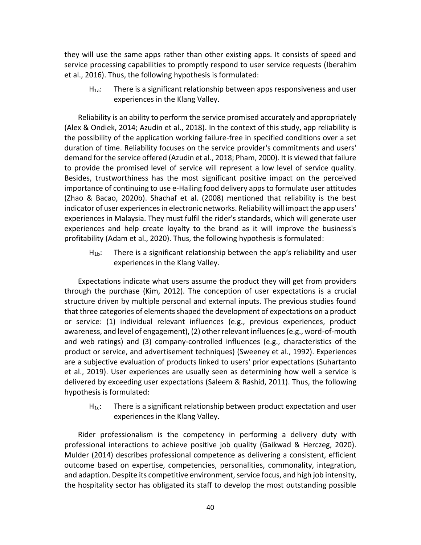they will use the same apps rather than other existing apps. It consists of speed and service processing capabilities to promptly respond to user service requests (Iberahim et al., 2016). Thus, the following hypothesis is formulated:

H<sub>1a</sub>: There is a significant relationship between apps responsiveness and user experiences in the Klang Valley.

Reliability is an ability to perform the service promised accurately and appropriately (Alex & Ondiek, 2014; Azudin et al., 2018). In the context of this study, app reliability is the possibility of the application working failure-free in specified conditions over a set duration of time. Reliability focuses on the service provider's commitments and users' demand for the service offered (Azudin et al., 2018; Pham, 2000). It is viewed that failure to provide the promised level of service will represent a low level of service quality. Besides, trustworthiness has the most significant positive impact on the perceived importance of continuing to use e-Hailing food delivery apps to formulate user attitudes (Zhao & Bacao, 2020b). Shachaf et al. (2008) mentioned that reliability is the best indicator of user experiences in electronic networks. Reliability will impact the app users' experiences in Malaysia. They must fulfil the rider's standards, which will generate user experiences and help create loyalty to the brand as it will improve the business's profitability (Adam et al., 2020). Thus, the following hypothesis is formulated:

H1b: There is a significant relationship between the app's reliability and user experiences in the Klang Valley.

Expectations indicate what users assume the product they will get from providers through the purchase (Kim, 2012). The conception of user expectations is a crucial structure driven by multiple personal and external inputs. The previous studies found that three categories of elements shaped the development of expectations on a product or service: (1) individual relevant influences (e.g., previous experiences, product awareness, and level of engagement), (2) other relevant influences (e.g., word-of-mouth and web ratings) and (3) company-controlled influences (e.g., characteristics of the product or service, and advertisement techniques) (Sweeney et al., 1992). Experiences are a subjective evaluation of products linked to users' prior expectations (Suhartanto et al., 2019). User experiences are usually seen as determining how well a service is delivered by exceeding user expectations (Saleem & Rashid, 2011). Thus, the following hypothesis is formulated:

 $H_{1c}$ : There is a significant relationship between product expectation and user experiences in the Klang Valley.

Rider professionalism is the competency in performing a delivery duty with professional interactions to achieve positive job quality (Gaikwad & Herczeg, 2020). Mulder (2014) describes professional competence as delivering a consistent, efficient outcome based on expertise, competencies, personalities, commonality, integration, and adaption. Despite its competitive environment, service focus, and high job intensity, the hospitality sector has obligated its staff to develop the most outstanding possible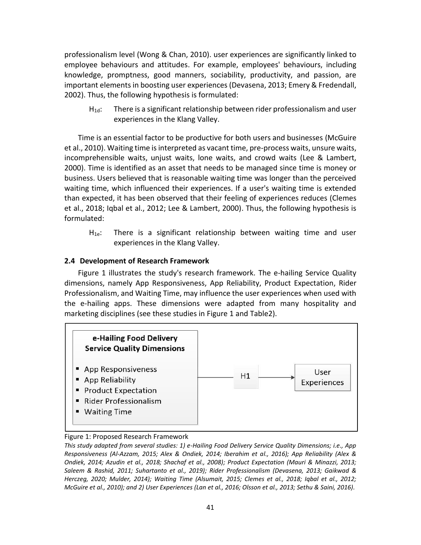professionalism level (Wong & Chan, 2010). user experiences are significantly linked to employee behaviours and attitudes. For example, employees' behaviours, including knowledge, promptness, good manners, sociability, productivity, and passion, are important elements in boosting user experiences (Devasena, 2013; Emery & Fredendall, 2002). Thus, the following hypothesis is formulated:

 $H_{1d}$ : There is a significant relationship between rider professionalism and user experiences in the Klang Valley.

Time is an essential factor to be productive for both users and businesses (McGuire et al., 2010). Waiting time is interpreted as vacant time, pre-process waits, unsure waits, incomprehensible waits, unjust waits, lone waits, and crowd waits (Lee & Lambert, 2000). Time is identified as an asset that needs to be managed since time is money or business. Users believed that is reasonable waiting time was longer than the perceived waiting time, which influenced their experiences. If a user's waiting time is extended than expected, it has been observed that their feeling of experiences reduces (Clemes et al., 2018; Iqbal et al., 2012; Lee & Lambert, 2000). Thus, the following hypothesis is formulated:

 $H_{1e}$ : There is a significant relationship between waiting time and user experiences in the Klang Valley.

## **2.4 Development of Research Framework**

Figure 1 illustrates the study's research framework. The e-hailing Service Quality dimensions, namely App Responsiveness, App Reliability, Product Expectation, Rider Professionalism, and Waiting Time, may influence the user experiences when used with the e-hailing apps. These dimensions were adapted from many hospitality and marketing disciplines (see these studies in Figure 1 and Table2).



#### Figure 1: Proposed Research Framework

*This study adapted from several studies: 1) e-Hailing Food Delivery Service Quality Dimensions; i.e., App Responsiveness (Al-Azzam, 2015; Alex & Ondiek, 2014; Iberahim et al., 2016); App Reliability (Alex & Ondiek, 2014; Azudin et al., 2018; Shachaf et al., 2008); Product Expectation (Mauri & Minazzi, 2013; Saleem & Rashid, 2011; Suhartanto et al., 2019); Rider Professionalism (Devasena, 2013; Gaikwad & Herczeg, 2020; Mulder, 2014); Waiting Time (Alsumait, 2015; Clemes et al., 2018; Iqbal et al., 2012; McGuire et al., 2010); and 2) User Experiences (Lan et al., 2016; Olsson et al., 2013; Sethu & Saini, 2016).*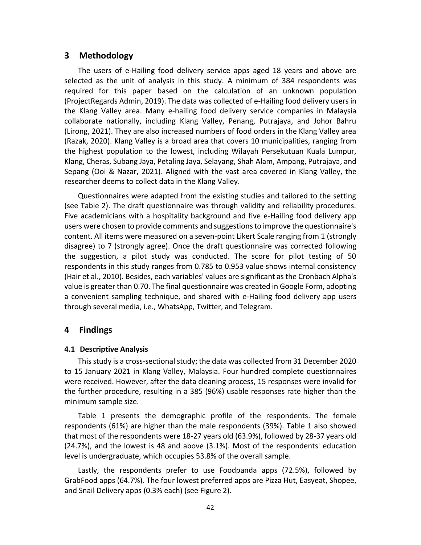## **3 Methodology**

The users of e-Hailing food delivery service apps aged 18 years and above are selected as the unit of analysis in this study. A minimum of 384 respondents was required for this paper based on the calculation of an unknown population (ProjectRegards Admin, 2019). The data was collected of e-Hailing food delivery users in the Klang Valley area. Many e-hailing food delivery service companies in Malaysia collaborate nationally, including Klang Valley, Penang, Putrajaya, and Johor Bahru (Lirong, 2021). They are also increased numbers of food orders in the Klang Valley area (Razak, 2020). Klang Valley is a broad area that covers 10 municipalities, ranging from the highest population to the lowest, including Wilayah Persekutuan Kuala Lumpur, Klang, Cheras, Subang Jaya, Petaling Jaya, Selayang, Shah Alam, Ampang, Putrajaya, and Sepang (Ooi & Nazar, 2021). Aligned with the vast area covered in Klang Valley, the researcher deems to collect data in the Klang Valley.

Questionnaires were adapted from the existing studies and tailored to the setting (see Table 2). The draft questionnaire was through validity and reliability procedures. Five academicians with a hospitality background and five e-Hailing food delivery app users were chosen to provide comments and suggestions to improve the questionnaire's content. All items were measured on a seven-point Likert Scale ranging from 1 (strongly disagree) to 7 (strongly agree). Once the draft questionnaire was corrected following the suggestion, a pilot study was conducted. The score for pilot testing of 50 respondents in this study ranges from 0.785 to 0.953 value shows internal consistency (Hair et al., 2010). Besides, each variables' values are significant as the Cronbach Alpha's value is greater than 0.70. The final questionnaire was created in Google Form, adopting a convenient sampling technique, and shared with e-Hailing food delivery app users through several media, i.e., WhatsApp, Twitter, and Telegram.

## **4 Findings**

#### **4.1 Descriptive Analysis**

This study is a cross-sectional study; the data was collected from 31 December 2020 to 15 January 2021 in Klang Valley, Malaysia. Four hundred complete questionnaires were received. However, after the data cleaning process, 15 responses were invalid for the further procedure, resulting in a 385 (96%) usable responses rate higher than the minimum sample size.

Table 1 presents the demographic profile of the respondents. The female respondents (61%) are higher than the male respondents (39%). Table 1 also showed that most of the respondents were 18-27 years old (63.9%), followed by 28-37 years old (24.7%), and the lowest is 48 and above (3.1%). Most of the respondents' education level is undergraduate, which occupies 53.8% of the overall sample.

Lastly, the respondents prefer to use Foodpanda apps (72.5%), followed by GrabFood apps (64.7%). The four lowest preferred apps are Pizza Hut, Easyeat, Shopee, and Snail Delivery apps (0.3% each) (see Figure 2).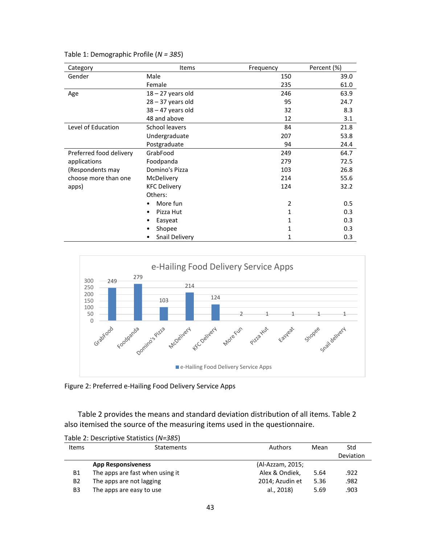| Category                | Items               | Frequency      | Percent (%) |  |
|-------------------------|---------------------|----------------|-------------|--|
| Gender                  | Male                | 150            | 39.0        |  |
|                         | Female              | 235            | 61.0        |  |
| Age                     | $18 - 27$ years old | 246            | 63.9        |  |
|                         | $28 - 37$ years old | 95             | 24.7        |  |
|                         | $38 - 47$ years old | 32             | 8.3         |  |
|                         | 48 and above        | 12             | 3.1         |  |
| Level of Education      | School leavers      | 84             | 21.8        |  |
|                         | Undergraduate       | 207            | 53.8        |  |
|                         | Postgraduate        | 94             | 24.4        |  |
| Preferred food delivery | GrabFood            | 249            | 64.7        |  |
| applications            | Foodpanda           | 279            | 72.5        |  |
| (Respondents may        | Domino's Pizza      | 103            | 26.8        |  |
| choose more than one    | McDelivery          | 214            | 55.6        |  |
| apps)                   | <b>KFC Delivery</b> | 124            | 32.2        |  |
|                         | Others:             |                |             |  |
|                         | More fun            | $\overline{2}$ | 0.5         |  |
|                         | Pizza Hut<br>٠      | 1              | 0.3         |  |
|                         | Easyeat             | 1              | 0.3         |  |
|                         | Shopee              | 1              | 0.3         |  |
|                         | Snail Delivery      | 1              | 0.3         |  |

Table 1: Demographic Profile (*N = 385*)



Figure 2: Preferred e-Hailing Food Delivery Service Apps

Table 2 provides the means and standard deviation distribution of all items. Table 2 also itemised the source of the measuring items used in the questionnaire.

Table 2: Descriptive Statistics (*N=385*)

| <b>Items</b> | Statements                      | <b>Authors</b>   | Mean | Std       |
|--------------|---------------------------------|------------------|------|-----------|
|              |                                 |                  |      | Deviation |
|              | <b>App Responsiveness</b>       | (Al-Azzam, 2015; |      |           |
| <b>B1</b>    | The apps are fast when using it | Alex & Ondiek,   | 5.64 | .922      |
| B2           | The apps are not lagging        | 2014; Azudin et  | 5.36 | .982      |
| B3           | The apps are easy to use        | al., 2018)       | 5.69 | .903      |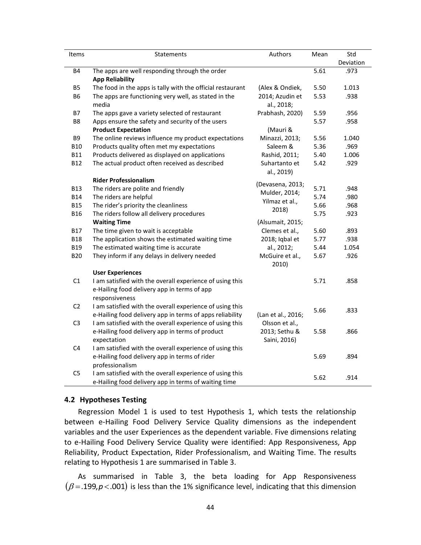| Items          | Statements                                                 | Authors            | Mean | Std       |
|----------------|------------------------------------------------------------|--------------------|------|-----------|
|                |                                                            |                    |      | Deviation |
| <b>B4</b>      | The apps are well responding through the order             |                    | 5.61 | .973      |
|                | <b>App Reliability</b>                                     |                    |      |           |
| <b>B5</b>      | The food in the apps is tally with the official restaurant | (Alex & Ondiek,    | 5.50 | 1.013     |
| B <sub>6</sub> | The apps are functioning very well, as stated in the       | 2014; Azudin et    | 5.53 | .938      |
|                | media                                                      | al., 2018;         |      |           |
| <b>B7</b>      | The apps gave a variety selected of restaurant             | Prabhash, 2020)    | 5.59 | .956      |
| B8             | Apps ensure the safety and security of the users           |                    | 5.57 | .958      |
|                | <b>Product Expectation</b>                                 | (Mauri &           |      |           |
| B9             | The online reviews influence my product expectations       | Minazzi, 2013;     | 5.56 | 1.040     |
| <b>B10</b>     | Products quality often met my expectations                 | Saleem &           | 5.36 | .969      |
| <b>B11</b>     | Products delivered as displayed on applications            | Rashid, 2011;      | 5.40 | 1.006     |
| <b>B12</b>     | The actual product often received as described             | Suhartanto et      | 5.42 | .929      |
|                |                                                            | al., 2019)         |      |           |
|                | <b>Rider Professionalism</b>                               | (Devasena, 2013;   |      |           |
| <b>B13</b>     | The riders are polite and friendly                         | Mulder, 2014;      | 5.71 | .948      |
| <b>B14</b>     | The riders are helpful                                     | Yilmaz et al.,     | 5.74 | .980      |
| <b>B15</b>     | The rider's priority the cleanliness                       | 2018)              | 5.66 | .968      |
| <b>B16</b>     | The riders follow all delivery procedures                  |                    | 5.75 | .923      |
|                | <b>Waiting Time</b>                                        | (Alsumait, 2015;   |      |           |
| <b>B17</b>     | The time given to wait is acceptable                       | Clemes et al.,     | 5.60 | .893      |
| <b>B18</b>     | The application shows the estimated waiting time           | 2018; Iqbal et     | 5.77 | .938      |
| <b>B19</b>     | The estimated waiting time is accurate                     | al., 2012;         | 5.44 | 1.054     |
| <b>B20</b>     | They inform if any delays in delivery needed               | McGuire et al.,    | 5.67 | .926      |
|                |                                                            | 2010)              |      |           |
|                | <b>User Experiences</b>                                    |                    |      |           |
| C1             | I am satisfied with the overall experience of using this   |                    | 5.71 | .858      |
|                | e-Hailing food delivery app in terms of app                |                    |      |           |
|                | responsiveness                                             |                    |      |           |
| C <sub>2</sub> | I am satisfied with the overall experience of using this   |                    | 5.66 | .833      |
|                | e-Hailing food delivery app in terms of apps reliability   | (Lan et al., 2016; |      |           |
| C <sub>3</sub> | I am satisfied with the overall experience of using this   | Olsson et al.,     |      |           |
|                | e-Hailing food delivery app in terms of product            | 2013; Sethu &      | 5.58 | .866      |
|                | expectation                                                | Saini, 2016)       |      |           |
| C <sub>4</sub> | I am satisfied with the overall experience of using this   |                    |      |           |
|                | e-Hailing food delivery app in terms of rider              |                    | 5.69 | .894      |
|                | professionalism                                            |                    |      |           |
| C <sub>5</sub> | I am satisfied with the overall experience of using this   |                    | 5.62 | .914      |
|                | e-Hailing food delivery app in terms of waiting time       |                    |      |           |

#### **4.2 Hypotheses Testing**

Regression Model 1 is used to test Hypothesis 1, which tests the relationship between e-Hailing Food Delivery Service Quality dimensions as the independent variables and the user Experiences as the dependent variable. Five dimensions relating to e-Hailing Food Delivery Service Quality were identified: App Responsiveness, App Reliability, Product Expectation, Rider Professionalism, and Waiting Time. The results relating to Hypothesis 1 are summarised in Table 3.

As summarised in Table 3, the beta loading for App Responsiveness  $(\beta =$  199, $p$ <.001) is less than the 1% significance level, indicating that this dimension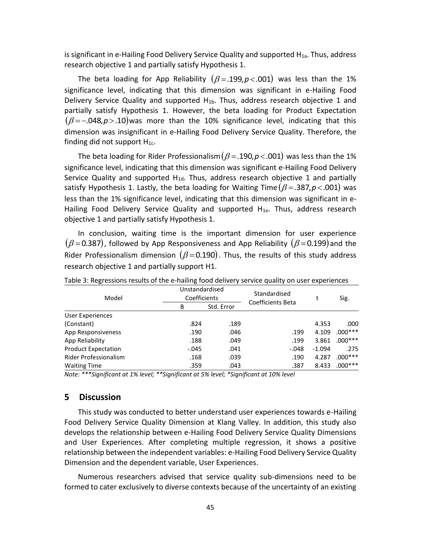is significant in e-Hailing Food Delivery Service Quality and supported  $H_{1a}$ . Thus, address research objective 1 and partially satisfy Hypothesis 1.

The beta loading for App Reliability  $(\beta = 0.199, p < 0.001)$  was less than the 1% significance level, indicating that this dimension was significant in e-Hailing Food Delivery Service Quality and supported  $H_{1b}$ . Thus, address research objective 1 and partially satisfy Hypothesis 1. However, the beta loading for Product Expectation  $(\beta$ =-.048, $p$ >.10)was more than the 10% significance level, indicating that this dimension was insignificant in e-Hailing Food Delivery Service Quality. Therefore, the finding did not support  $H_{1c}$ .

The beta loading for Rider Professionalism $(\beta =$ .190, $p$ <.001) was less than the 1% significance level, indicating that this dimension was significant e-Hailing Food Delivery Service Quality and supported  $H_{1d}$ . Thus, address research objective 1 and partially satisfy Hypothesis 1. Lastly, the beta loading for Waiting Time  $(\beta =$  387, $p$ <.001) was less than the 1% significance level, indicating that this dimension was significant in e-Hailing Food Delivery Service Quality and supported  $H_{1e}$ . Thus, address research objective 1 and partially satisfy Hypothesis 1.

In conclusion, waiting time is the important dimension for user experience  $(\beta\!=\!0.387)$ , followed by App Responsiveness and App Reliability  $(\beta\!=\!0.199)$ and the Rider Professionalism dimension  $(\beta \!=\! 0.190)$ . Thus, the results of this study address research objective 1 and partially support H1.

| Model                      | Unstandardised<br>Coefficients |            | Standardised             |          | Sig.      |
|----------------------------|--------------------------------|------------|--------------------------|----------|-----------|
|                            | B                              | Std. Error | <b>Coefficients Beta</b> |          |           |
| User Experiences           |                                |            |                          |          |           |
| (Constant)                 | .824                           | .189       |                          | 4.353    | .000      |
| App Responsiveness         | .190                           | .046       | .199                     | 4.109    | $.000***$ |
| App Reliability            | .188                           | .049       | .199                     | 3.861    | $.000***$ |
| <b>Product Expectation</b> | $-.045$                        | .041       | -.048                    | $-1.094$ | .275      |
| Rider Professionalism      | .168                           | .039       | .190                     | 4.287    | $.000***$ |
| <b>Waiting Time</b>        | .359                           | .043       | .387                     | 8.433    | $.000***$ |

Table 3: Regressions results of the e-hailing food delivery service quality on user experiences

*Note: \*\*\*Significant at 1% level; \*\*Significant at 5% level; \*Significant at 10% level*

## **5 Discussion**

This study was conducted to better understand user experiences towards e-Hailing Food Delivery Service Quality Dimension at Klang Valley. In addition, this study also develops the relationship between e-Hailing Food Delivery Service Quality Dimensions and User Experiences. After completing multiple regression, it shows a positive relationship between the independent variables: e-Hailing Food Delivery Service Quality Dimension and the dependent variable, User Experiences.

Numerous researchers advised that service quality sub-dimensions need to be formed to cater exclusively to diverse contexts because of the uncertainty of an existing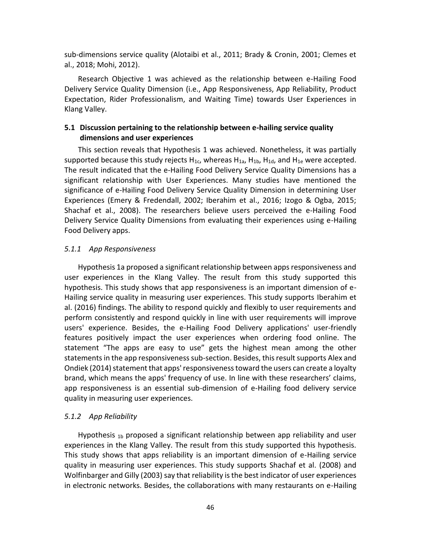sub-dimensions service quality (Alotaibi et al., 2011; Brady & Cronin, 2001; Clemes et al., 2018; Mohi, 2012).

Research Objective 1 was achieved as the relationship between e-Hailing Food Delivery Service Quality Dimension (i.e., App Responsiveness, App Reliability, Product Expectation, Rider Professionalism, and Waiting Time) towards User Experiences in Klang Valley.

# **5.1 Discussion pertaining to the relationship between e-hailing service quality dimensions and user experiences**

This section reveals that Hypothesis 1 was achieved. Nonetheless, it was partially supported because this study rejects  $H_{1c}$ , whereas  $H_{1a}$ ,  $H_{1b}$ ,  $H_{1d}$ , and  $H_{1e}$  were accepted. The result indicated that the e-Hailing Food Delivery Service Quality Dimensions has a significant relationship with User Experiences. Many studies have mentioned the significance of e-Hailing Food Delivery Service Quality Dimension in determining User Experiences (Emery & Fredendall, 2002; Iberahim et al., 2016; Izogo & Ogba, 2015; Shachaf et al., 2008). The researchers believe users perceived the e-Hailing Food Delivery Service Quality Dimensions from evaluating their experiences using e-Hailing Food Delivery apps.

#### *5.1.1 App Responsiveness*

Hypothesis 1a proposed a significant relationship between apps responsiveness and user experiences in the Klang Valley. The result from this study supported this hypothesis. This study shows that app responsiveness is an important dimension of e-Hailing service quality in measuring user experiences. This study supports Iberahim et al. (2016) findings. The ability to respond quickly and flexibly to user requirements and perform consistently and respond quickly in line with user requirements will improve users' experience. Besides, the e-Hailing Food Delivery applications' user-friendly features positively impact the user experiences when ordering food online. The statement "The apps are easy to use" gets the highest mean among the other statements in the app responsiveness sub-section. Besides, this result supports Alex and Ondiek (2014) statement that apps' responsiveness toward the users can create a loyalty brand, which means the apps' frequency of use. In line with these researchers' claims, app responsiveness is an essential sub-dimension of e-Hailing food delivery service quality in measuring user experiences.

## *5.1.2 App Reliability*

Hypothesis 1b proposed a significant relationship between app reliability and user experiences in the Klang Valley. The result from this study supported this hypothesis. This study shows that apps reliability is an important dimension of e-Hailing service quality in measuring user experiences. This study supports Shachaf et al. (2008) and Wolfinbarger and Gilly (2003) say that reliability is the best indicator of user experiences in electronic networks. Besides, the collaborations with many restaurants on e-Hailing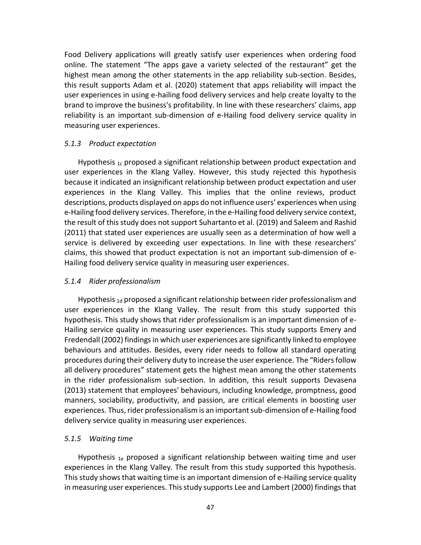Food Delivery applications will greatly satisfy user experiences when ordering food online. The statement "The apps gave a variety selected of the restaurant" get the highest mean among the other statements in the app reliability sub-section. Besides, this result supports Adam et al. (2020) statement that apps reliability will impact the user experiences in using e-hailing food delivery services and help create loyalty to the brand to improve the business's profitability. In line with these researchers' claims, app reliability is an important sub-dimension of e-Hailing food delivery service quality in measuring user experiences.

## *5.1.3 Product expectation*

Hypothesis  $1c$  proposed a significant relationship between product expectation and user experiences in the Klang Valley. However, this study rejected this hypothesis because it indicated an insignificant relationship between product expectation and user experiences in the Klang Valley. This implies that the online reviews, product descriptions, products displayed on apps do not influence users' experiences when using e-Hailing food delivery services. Therefore, in the e-Hailing food delivery service context, the result of this study does not support Suhartanto et al. (2019) and Saleem and Rashid (2011) that stated user experiences are usually seen as a determination of how well a service is delivered by exceeding user expectations. In line with these researchers' claims, this showed that product expectation is not an important sub-dimension of e-Hailing food delivery service quality in measuring user experiences.

#### *5.1.4 Rider professionalism*

Hypothesis 1d proposed a significant relationship between rider professionalism and user experiences in the Klang Valley. The result from this study supported this hypothesis. This study shows that rider professionalism is an important dimension of e-Hailing service quality in measuring user experiences. This study supports Emery and Fredendall (2002) findings in which user experiences are significantly linked to employee behaviours and attitudes. Besides, every rider needs to follow all standard operating procedures during their delivery duty to increase the user experience. The "Riders follow all delivery procedures" statement gets the highest mean among the other statements in the rider professionalism sub-section. In addition, this result supports Devasena (2013) statement that employees' behaviours, including knowledge, promptness, good manners, sociability, productivity, and passion, are critical elements in boosting user experiences. Thus, rider professionalism is an important sub-dimension of e-Hailing food delivery service quality in measuring user experiences.

## *5.1.5 Waiting time*

Hypothesis  $_{1e}$  proposed a significant relationship between waiting time and user experiences in the Klang Valley. The result from this study supported this hypothesis. This study shows that waiting time is an important dimension of e-Hailing service quality in measuring user experiences. This study supports Lee and Lambert (2000) findings that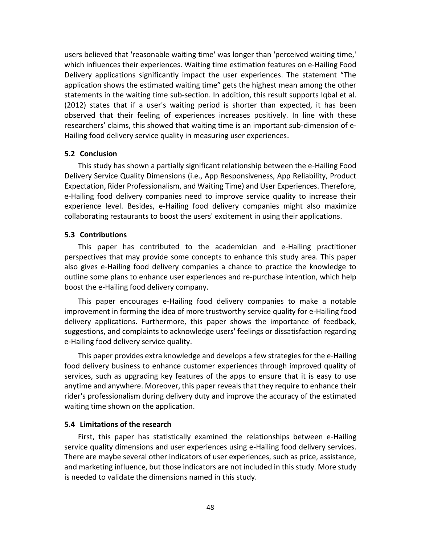users believed that 'reasonable waiting time' was longer than 'perceived waiting time,' which influences their experiences. Waiting time estimation features on e-Hailing Food Delivery applications significantly impact the user experiences. The statement "The application shows the estimated waiting time" gets the highest mean among the other statements in the waiting time sub-section. In addition, this result supports Iqbal et al. (2012) states that if a user's waiting period is shorter than expected, it has been observed that their feeling of experiences increases positively. In line with these researchers' claims, this showed that waiting time is an important sub-dimension of e-Hailing food delivery service quality in measuring user experiences.

#### **5.2 Conclusion**

This study has shown a partially significant relationship between the e-Hailing Food Delivery Service Quality Dimensions (i.e., App Responsiveness, App Reliability, Product Expectation, Rider Professionalism, and Waiting Time) and User Experiences. Therefore, e-Hailing food delivery companies need to improve service quality to increase their experience level. Besides, e-Hailing food delivery companies might also maximize collaborating restaurants to boost the users' excitement in using their applications.

## **5.3 Contributions**

This paper has contributed to the academician and e-Hailing practitioner perspectives that may provide some concepts to enhance this study area. This paper also gives e-Hailing food delivery companies a chance to practice the knowledge to outline some plans to enhance user experiences and re-purchase intention, which help boost the e-Hailing food delivery company.

This paper encourages e-Hailing food delivery companies to make a notable improvement in forming the idea of more trustworthy service quality for e-Hailing food delivery applications. Furthermore, this paper shows the importance of feedback, suggestions, and complaints to acknowledge users' feelings or dissatisfaction regarding e-Hailing food delivery service quality.

This paper provides extra knowledge and develops a few strategies for the e-Hailing food delivery business to enhance customer experiences through improved quality of services, such as upgrading key features of the apps to ensure that it is easy to use anytime and anywhere. Moreover, this paper reveals that they require to enhance their rider's professionalism during delivery duty and improve the accuracy of the estimated waiting time shown on the application.

#### **5.4 Limitations of the research**

First, this paper has statistically examined the relationships between e-Hailing service quality dimensions and user experiences using e-Hailing food delivery services. There are maybe several other indicators of user experiences, such as price, assistance, and marketing influence, but those indicators are not included in this study. More study is needed to validate the dimensions named in this study.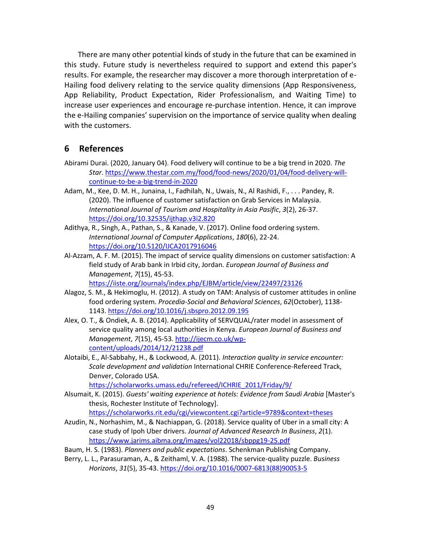There are many other potential kinds of study in the future that can be examined in this study. Future study is nevertheless required to support and extend this paper's results. For example, the researcher may discover a more thorough interpretation of e-Hailing food delivery relating to the service quality dimensions (App Responsiveness, App Reliability, Product Expectation, Rider Professionalism, and Waiting Time) to increase user experiences and encourage re-purchase intention. Hence, it can improve the e-Hailing companies' supervision on the importance of service quality when dealing with the customers.

# **6 References**

- Abirami Durai. (2020, January 04). Food delivery will continue to be a big trend in 2020. *The Star*. [https://www.thestar.com.my/food/food-news/2020/01/04/food-delivery-will](https://www.thestar.com.my/food/food-news/2020/01/04/food-delivery-will-continue-to-be-a-big-trend-in-2020)[continue-to-be-a-big-trend-in-2020](https://www.thestar.com.my/food/food-news/2020/01/04/food-delivery-will-continue-to-be-a-big-trend-in-2020)
- Adam, M., Kee, D. M. H., Junaina, I., Fadhilah, N., Uwais, N., Al Rashidi, F., . . . Pandey, R. (2020). The influence of customer satisfaction on Grab Services in Malaysia. *International Journal of Tourism and Hospitality in Asia Pasific*, *3*(2), 26-37. <https://doi.org/10.32535/ijthap.v3i2.820>
- Adithya, R., Singh, A., Pathan, S., & Kanade, V. (2017). Online food ordering system. *International Journal of Computer Applications*, *180*(6), 22-24. <https://doi.org/10.5120/IJCA2017916046>
- Al-Azzam, A. F. M. (2015). The impact of service quality dimensions on customer satisfaction: A field study of Arab bank in Irbid city, Jordan. *European Journal of Business and Management*, *7*(15), 45-53.

<https://iiste.org/Journals/index.php/EJBM/article/view/22497/23126>

- Alagoz, S. M., & Hekimoglu, H. (2012). A study on TAM: Analysis of customer attitudes in online food ordering system. *Procedia-Social and Behavioral Sciences*, *62*(October), 1138- 1143.<https://doi.org/10.1016/j.sbspro.2012.09.195>
- Alex, O. T., & Ondiek, A. B. (2014). Applicability of SERVQUAL/rater model in assessment of service quality among local authorities in Kenya. *European Journal of Business and Management*, *7*(15), 45-53. [http://ijecm.co.uk/wp](http://ijecm.co.uk/wp-content/uploads/2014/12/21238.pdf)[content/uploads/2014/12/21238.pdf](http://ijecm.co.uk/wp-content/uploads/2014/12/21238.pdf)
- Alotaibi, E., Al-Sabbahy, H., & Lockwood, A. (2011). *Interaction quality in service encounter: Scale development and validation* International CHRIE Conference-Refereed Track, Denver, Colorado USA.

[https://scholarworks.umass.edu/refereed/ICHRIE\\_2011/Friday/9/](https://scholarworks.umass.edu/refereed/ICHRIE_2011/Friday/9/)

- Alsumait, K. (2015). *Guests' waiting experience at hotels: Evidence from Saudi Arabia* [Master's thesis, Rochester Institute of Technology]. <https://scholarworks.rit.edu/cgi/viewcontent.cgi?article=9789&context=theses>
- Azudin, N., Norhashim, M., & Nachiappan, G. (2018). Service quality of Uber in a small city: A case study of Ipoh Uber drivers. *Journal of Advanced Research In Business*, *2*(1). <https://www.jarims.aibma.org/images/vol22018/sbppg19-25.pdf>
- Baum, H. S. (1983). *Planners and public expectations*. Schenkman Publishing Company.
- Berry, L. L., Parasuraman, A., & Zeithaml, V. A. (1988). The service-quality puzzle. *Business Horizons*, *31*(5), 35-43. [https://doi.org/10.1016/0007-6813\(88\)90053-5](https://doi.org/10.1016/0007-6813(88)90053-5)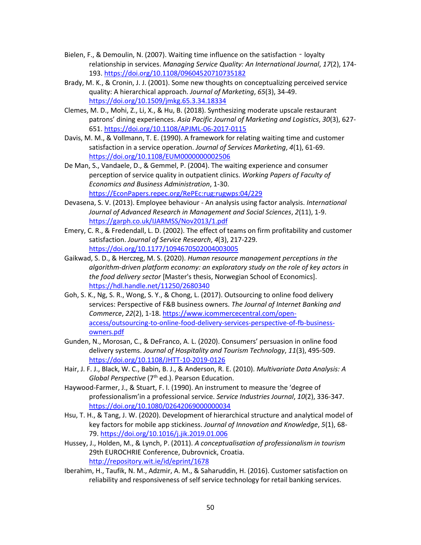- Bielen, F., & Demoulin, N. (2007). Waiting time influence on the satisfaction loyalty relationship in services. *Managing Service Quality: An International Journal*, *17*(2), 174- 193[. https://doi.org/10.1108/09604520710735182](https://doi.org/10.1108/09604520710735182)
- Brady, M. K., & Cronin, J. J. (2001). Some new thoughts on conceptualizing perceived service quality: A hierarchical approach. *Journal of Marketing*, *65*(3), 34-49. <https://doi.org/10.1509/jmkg.65.3.34.18334>
- Clemes, M. D., Mohi, Z., Li, X., & Hu, B. (2018). Synthesizing moderate upscale restaurant patrons' dining experiences. *Asia Pacific Journal of Marketing and Logistics*, *30*(3), 627- 651[. https://doi.org/10.1108/APJML-06-2017-0115](https://doi.org/10.1108/APJML-06-2017-0115)
- Davis, M. M., & Vollmann, T. E. (1990). A framework for relating waiting time and customer satisfaction in a service operation. *Journal of Services Marketing*, *4*(1), 61-69. <https://doi.org/10.1108/EUM0000000002506>
- De Man, S., Vandaele, D., & Gemmel, P. (2004). The waiting experience and consumer perception of service quality in outpatient clinics. *Working Papers of Faculty of Economics and Business Administration*, 1-30. [https://EconPapers.repec.org/RePEc:rug:rugwps:04/229](https://econpapers.repec.org/RePEc:rug:rugwps:04/229)
- Devasena, S. V. (2013). Employee behaviour An analysis using factor analysis. *International Journal of Advanced Research in Management and Social Sciences*, *2*(11), 1-9. <https://garph.co.uk/IJARMSS/Nov2013/1.pdf>
- Emery, C. R., & Fredendall, L. D. (2002). The effect of teams on firm profitability and customer satisfaction. *Journal of Service Research*, *4*(3), 217-229. <https://doi.org/10.1177/1094670502004003005>
- Gaikwad, S. D., & Herczeg, M. S. (2020). *Human resource management perceptions in the algorithm-driven platform economy: an exploratory study on the role of key actors in the food delivery sector* [Master's thesis, Norwegian School of Economics]. <https://hdl.handle.net/11250/2680340>
- Goh, S. K., Ng, S. R., Wong, S. Y., & Chong, L. (2017). Outsourcing to online food delivery services: Perspective of F&B business owners. *The Journal of Internet Banking and Commerce*, *22*(2), 1-18[. https://www.icommercecentral.com/open](https://www.icommercecentral.com/open-access/outsourcing-to-online-food-delivery-services-perspective-of-fb-business-owners.pdf)[access/outsourcing-to-online-food-delivery-services-perspective-of-fb-business](https://www.icommercecentral.com/open-access/outsourcing-to-online-food-delivery-services-perspective-of-fb-business-owners.pdf)[owners.pdf](https://www.icommercecentral.com/open-access/outsourcing-to-online-food-delivery-services-perspective-of-fb-business-owners.pdf)
- Gunden, N., Morosan, C., & DeFranco, A. L. (2020). Consumers' persuasion in online food delivery systems. *Journal of Hospitality and Tourism Technology*, *11*(3), 495-509. <https://doi.org/10.1108/JHTT-10-2019-0126>
- Hair, J. F. J., Black, W. C., Babin, B. J., & Anderson, R. E. (2010). *Multivariate Data Analysis: A Global Perspective* (7<sup>th</sup> ed.). Pearson Education.
- Haywood-Farmer, J., & Stuart, F. I. (1990). An instrument to measure the 'degree of professionalism'in a professional service. *Service Industries Journal*, *10*(2), 336-347. <https://doi.org/10.1080/02642069000000034>
- Hsu, T. H., & Tang, J. W. (2020). Development of hierarchical structure and analytical model of key factors for mobile app stickiness. *Journal of Innovation and Knowledge*, *5*(1), 68- 79.<https://doi.org/10.1016/j.jik.2019.01.006>
- Hussey, J., Holden, M., & Lynch, P. (2011). *A conceptualisation of professionalism in tourism* 29th EUROCHRIE Conference, Dubrovnick, Croatia. <http://repository.wit.ie/id/eprint/1678>
- Iberahim, H., Taufik, N. M., Adzmir, A. M., & Saharuddin, H. (2016). Customer satisfaction on reliability and responsiveness of self service technology for retail banking services.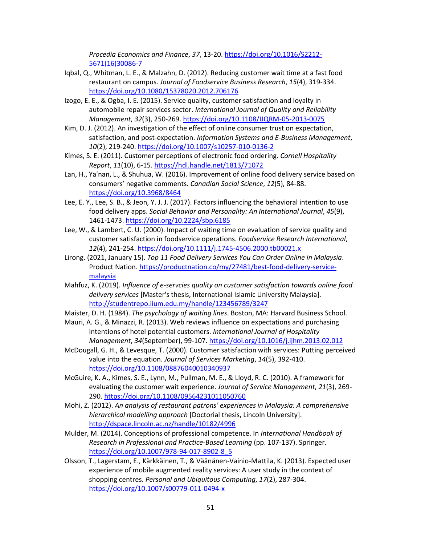*Procedia Economics and Finance*, *37*, 13-20[. https://doi.org/10.1016/S2212-](https://doi.org/10.1016/S2212-5671(16)30086-7) [5671\(16\)30086-7](https://doi.org/10.1016/S2212-5671(16)30086-7)

- Iqbal, Q., Whitman, L. E., & Malzahn, D. (2012). Reducing customer wait time at a fast food restaurant on campus. *Journal of Foodservice Business Research*, *15*(4), 319-334. <https://doi.org/10.1080/15378020.2012.706176>
- Izogo, E. E., & Ogba, I. E. (2015). Service quality, customer satisfaction and loyalty in automobile repair services sector. *International Journal of Quality and Reliability Management*, *32*(3), 250-269.<https://doi.org/10.1108/IJQRM-05-2013-0075>
- Kim, D. J. (2012). An investigation of the effect of online consumer trust on expectation, satisfaction, and post-expectation. *Information Systems and E-Business Management*, *10*(2), 219-240.<https://doi.org/10.1007/s10257-010-0136-2>
- Kimes, S. E. (2011). Customer perceptions of electronic food ordering. *Cornell Hospitality Report*, *11*(10), 6-15[. https://hdl.handle.net/1813/71072](https://hdl.handle.net/1813/71072)
- Lan, H., Ya'nan, L., & Shuhua, W. (2016). Improvement of online food delivery service based on consumers' negative comments. *Canadian Social Science*, *12*(5), 84-88. <https://doi.org/10.3968/8464>
- Lee, E. Y., Lee, S. B., & Jeon, Y. J. J. (2017). Factors influencing the behavioral intention to use food delivery apps. *Social Behavior and Personality: An International Journal*, *45*(9), 1461-1473.<https://doi.org/10.2224/sbp.6185>
- Lee, W., & Lambert, C. U. (2000). Impact of waiting time on evaluation of service quality and customer satisfaction in foodservice operations. *Foodservice Research International*, *12*(4), 241-254.<https://doi.org/10.1111/j.1745-4506.2000.tb00021.x>
- Lirong. (2021, January 15). *Top 11 Food Delivery Services You Can Order Online in Malaysia*. Product Nation[. https://productnation.co/my/27481/best-food-delivery-service](https://productnation.co/my/27481/best-food-delivery-service-malaysia)[malaysia](https://productnation.co/my/27481/best-food-delivery-service-malaysia)
- Mahfuz, K. (2019). *Influence of e-servcies quality on customer satisfaction towards online food delivery services* [Master's thesis, International Islamic University Malaysia]. <http://studentrepo.iium.edu.my/handle/123456789/3247>
- Maister, D. H. (1984). *The psychology of waiting lines*. Boston, MA: Harvard Business School.
- Mauri, A. G., & Minazzi, R. (2013). Web reviews influence on expectations and purchasing intentions of hotel potential customers. *International Journal of Hospitality Management*, *34*(September), 99-107.<https://doi.org/10.1016/j.ijhm.2013.02.012>
- McDougall, G. H., & Levesque, T. (2000). Customer satisfaction with services: Putting perceived value into the equation. *Journal of Services Marketing*, *14*(5), 392-410. <https://doi.org/10.1108/08876040010340937>
- McGuire, K. A., Kimes, S. E., Lynn, M., Pullman, M. E., & Lloyd, R. C. (2010). A framework for evaluating the customer wait experience. *Journal of Service Management*, *21*(3), 269- 290[. https://doi.org/10.1108/09564231011050760](https://doi.org/10.1108/09564231011050760)
- Mohi, Z. (2012). *An analysis of restaurant patrons' experiences in Malaysia: A comprehensive hierarchical modelling approach* [Doctorial thesis, Lincoln University]. <http://dspace.lincoln.ac.nz/handle/10182/4996>
- Mulder, M. (2014). Conceptions of professional competence. In *International Handbook of Research in Professional and Practice-Based Learning* (pp. 107-137). Springer. [https://doi.org/10.1007/978-94-017-8902-8\\_5](https://doi.org/10.1007/978-94-017-8902-8_5)
- Olsson, T., Lagerstam, E., Kärkkäinen, T., & Väänänen-Vainio-Mattila, K. (2013). Expected user experience of mobile augmented reality services: A user study in the context of shopping centres. *Personal and Ubiquitous Computing*, *17*(2), 287-304. <https://doi.org/10.1007/s00779-011-0494-x>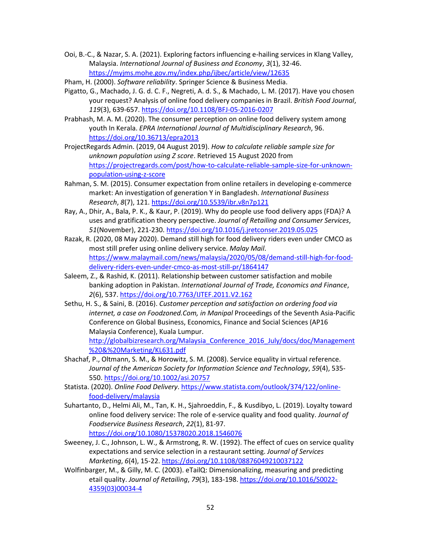Ooi, B.-C., & Nazar, S. A. (2021). Exploring factors influencing e-hailing services in Klang Valley, Malaysia. *International Journal of Business and Economy*, *3*(1), 32-46. <https://myjms.mohe.gov.my/index.php/ijbec/article/view/12635>

Pham, H. (2000). *Software reliability*. Springer Science & Business Media.

- Pigatto, G., Machado, J. G. d. C. F., Negreti, A. d. S., & Machado, L. M. (2017). Have you chosen your request? Analysis of online food delivery companies in Brazil. *British Food Journal*, *119*(3), 639-657.<https://doi.org/10.1108/BFJ-05-2016-0207>
- Prabhash, M. A. M. (2020). The consumer perception on online food delivery system among youth In Kerala. *EPRA International Journal of Multidisciplinary Research*, 96. <https://doi.org/10.36713/epra2013>
- ProjectRegards Admin. (2019, 04 August 2019). *How to calculate reliable sample size for unknown population using Z score*. Retrieved 15 August 2020 from [https://projectregards.com/post/how-to-calculate-reliable-sample-size-for-unknown](https://projectregards.com/post/how-to-calculate-reliable-sample-size-for-unknown-population-using-z-score)[population-using-z-score](https://projectregards.com/post/how-to-calculate-reliable-sample-size-for-unknown-population-using-z-score)
- Rahman, S. M. (2015). Consumer expectation from online retailers in developing e-commerce market: An investigation of generation Y in Bangladesh. *International Business Research*, *8*(7), 121.<https://doi.org/10.5539/ibr.v8n7p121>
- Ray, A., Dhir, A., Bala, P. K., & Kaur, P. (2019). Why do people use food delivery apps (FDA)? A uses and gratification theory perspective. *Journal of Retailing and Consumer Services*, *51*(November), 221-230.<https://doi.org/10.1016/j.jretconser.2019.05.025>
- Razak, R. (2020, 08 May 2020). Demand still high for food delivery riders even under CMCO as most still prefer using online delivery service. *Malay Mail*. [https://www.malaymail.com/news/malaysia/2020/05/08/demand-still-high-for-food](https://www.malaymail.com/news/malaysia/2020/05/08/demand-still-high-for-food-delivery-riders-even-under-cmco-as-most-still-pr/1864147)[delivery-riders-even-under-cmco-as-most-still-pr/1864147](https://www.malaymail.com/news/malaysia/2020/05/08/demand-still-high-for-food-delivery-riders-even-under-cmco-as-most-still-pr/1864147)
- Saleem, Z., & Rashid, K. (2011). Relationship between customer satisfaction and mobile banking adoption in Pakistan. *International Journal of Trade, Economics and Finance*, *2*(6), 537[. https://doi.org/10.7763/IJTEF.2011.V2.162](https://doi.org/10.7763/IJTEF.2011.V2.162)
- Sethu, H. S., & Saini, B. (2016). *Customer perception and satisfaction on ordering food via internet, a case on Foodzoned.Com, in Manipal* Proceedings of the Seventh Asia-Pacific Conference on Global Business, Economics, Finance and Social Sciences (AP16 Malaysia Conference), Kuala Lumpur. http://globalbizresearch.org/Malaysia Conference 2016 July/docs/doc/Management [%20&%20Marketing/KL631.pdf](http://globalbizresearch.org/Malaysia_Conference_2016_July/docs/doc/Management%20&%20Marketing/KL631.pdf)
- Shachaf, P., Oltmann, S. M., & Horowitz, S. M. (2008). Service equality in virtual reference. *Journal of the American Society for Information Science and Technology*, *59*(4), 535- 550[. https://doi.org/10.1002/asi.20757](https://doi.org/10.1002/asi.20757)
- Statista. (2020). *Online Food Delivery*[. https://www.statista.com/outlook/374/122/online](https://www.statista.com/outlook/374/122/online-food-delivery/malaysia)[food-delivery/malaysia](https://www.statista.com/outlook/374/122/online-food-delivery/malaysia)
- Suhartanto, D., Helmi Ali, M., Tan, K. H., Sjahroeddin, F., & Kusdibyo, L. (2019). Loyalty toward online food delivery service: The role of e-service quality and food quality. *Journal of Foodservice Business Research*, *22*(1), 81-97. <https://doi.org/10.1080/15378020.2018.1546076>
- Sweeney, J. C., Johnson, L. W., & Armstrong, R. W. (1992). The effect of cues on service quality expectations and service selection in a restaurant setting. *Journal of Services Marketing*, *6*(4), 15-22[. https://doi.org/10.1108/08876049210037122](https://doi.org/10.1108/08876049210037122)
- Wolfinbarger, M., & Gilly, M. C. (2003). eTailQ: Dimensionalizing, measuring and predicting etail quality. *Journal of Retailing*, *79*(3), 183-198. [https://doi.org/10.1016/S0022-](https://doi.org/10.1016/S0022-4359(03)00034-4) [4359\(03\)00034-4](https://doi.org/10.1016/S0022-4359(03)00034-4)